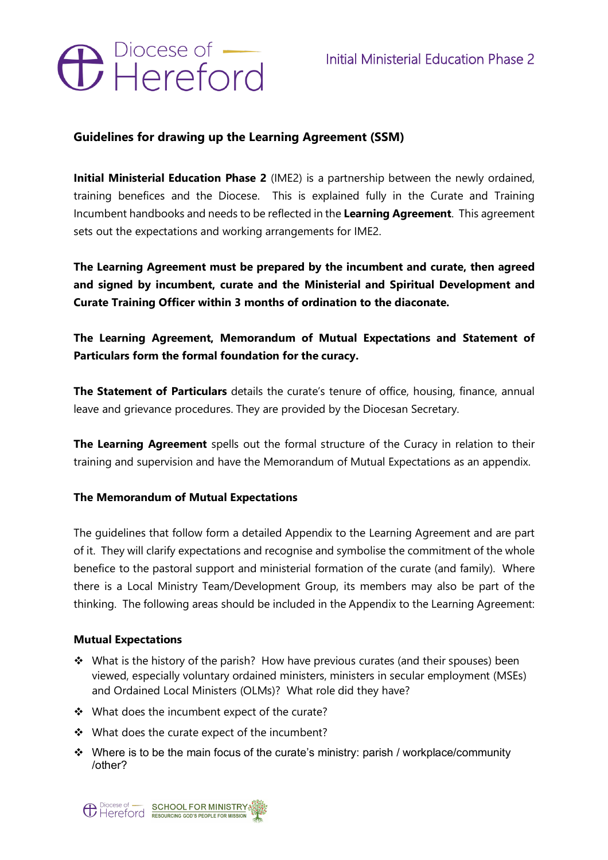# **O** Diocese of –

# **Guidelines for drawing up the Learning Agreement (SSM)**

**Initial Ministerial Education Phase 2** (IME2) is a partnership between the newly ordained, training benefices and the Diocese. This is explained fully in the Curate and Training Incumbent handbooks and needs to be reflected in the **Learning Agreement**. This agreement sets out the expectations and working arrangements for IME2.

**The Learning Agreement must be prepared by the incumbent and curate, then agreed and signed by incumbent, curate and the Ministerial and Spiritual Development and Curate Training Officer within 3 months of ordination to the diaconate.**

# **The Learning Agreement, Memorandum of Mutual Expectations and Statement of Particulars form the formal foundation for the curacy.**

**The Statement of Particulars** details the curate's tenure of office, housing, finance, annual leave and grievance procedures. They are provided by the Diocesan Secretary.

**The Learning Agreement** spells out the formal structure of the Curacy in relation to their training and supervision and have the Memorandum of Mutual Expectations as an appendix.

## **The Memorandum of Mutual Expectations**

The guidelines that follow form a detailed Appendix to the Learning Agreement and are part of it. They will clarify expectations and recognise and symbolise the commitment of the whole benefice to the pastoral support and ministerial formation of the curate (and family). Where there is a Local Ministry Team/Development Group, its members may also be part of the thinking. The following areas should be included in the Appendix to the Learning Agreement:

## **Mutual Expectations**

- $\cdot$  What is the history of the parish? How have previous curates (and their spouses) been viewed, especially voluntary ordained ministers, ministers in secular employment (MSEs) and Ordained Local Ministers (OLMs)? What role did they have?
- $\div$  What does the incumbent expect of the curate?
- $\dots$  What does the curate expect of the incumbent?
- $\cdot$  Where is to be the main focus of the curate's ministry: parish / workplace/community /other?

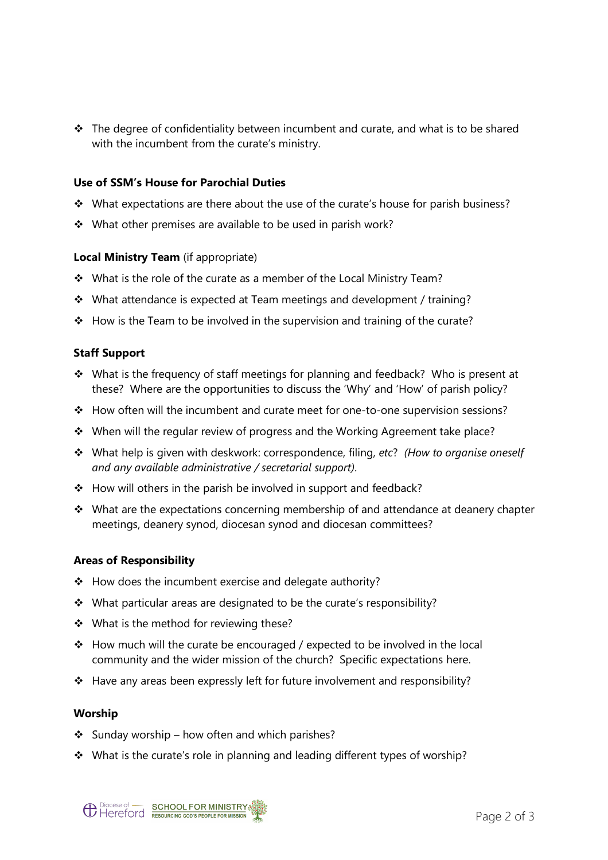$\cdot \cdot$  The degree of confidentiality between incumbent and curate, and what is to be shared with the incumbent from the curate's ministry.

#### **Use of SSM's House for Parochial Duties**

- $\div$  What expectations are there about the use of the curate's house for parish business?
- $\cdot$  What other premises are available to be used in parish work?

#### **Local Ministry Team** (if appropriate)

- \* What is the role of the curate as a member of the Local Ministry Team?
- \* What attendance is expected at Team meetings and development / training?
- $\div$  How is the Team to be involved in the supervision and training of the curate?

#### **Staff Support**

- What is the frequency of staff meetings for planning and feedback? Who is present at these? Where are the opportunities to discuss the 'Why' and 'How' of parish policy?
- $\div$  How often will the incumbent and curate meet for one-to-one supervision sessions?
- \* When will the regular review of progress and the Working Agreement take place?
- v What help is given with deskwork: correspondence, filing, *etc*? *(How to organise oneself and any available administrative / secretarial support)*.
- $\div$  How will others in the parish be involved in support and feedback?
- $\cdot$  What are the expectations concerning membership of and attendance at deanery chapter meetings, deanery synod, diocesan synod and diocesan committees?

#### **Areas of Responsibility**

- $\div$  How does the incumbent exercise and delegate authority?
- \* What particular areas are designated to be the curate's responsibility?
- $\cdot \cdot$  What is the method for reviewing these?
- $\div$  How much will the curate be encouraged / expected to be involved in the local community and the wider mission of the church? Specific expectations here.
- $\div$  Have any areas been expressly left for future involvement and responsibility?

#### **Worship**

- $\div$  Sunday worship how often and which parishes?
- \* What is the curate's role in planning and leading different types of worship?